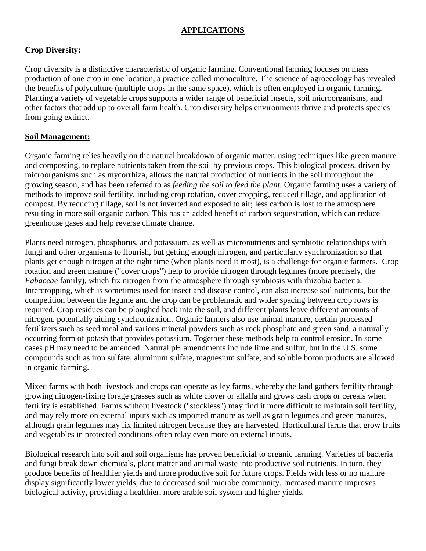#### **APPLICATIONS**

### **Crop Diversity:**

[Crop diversity](https://en.wikipedia.org/wiki/Crop_diversity) is a distinctive characteristic of organic farming. Conventional farming focuses on [mass](https://en.wikipedia.org/wiki/Mass_production)  [production](https://en.wikipedia.org/wiki/Mass_production) of one crop in one location, a practice called [monoculture.](https://en.wikipedia.org/wiki/Monoculture) The science of [agroecology](https://en.wikipedia.org/wiki/Agroecology) has revealed the benefits of [polyculture](https://en.wikipedia.org/wiki/Polyculture) (multiple crops in the same space), which is often employed in organic farming. Planting a variety of vegetable crops supports a wider range of beneficial insects, soil microorganisms, and other factors that add up to overall farm health. Crop diversity helps environments thrive and protects species from going extinct.

#### **Soil Management:**

Organic farming relies heavily on the natural breakdown of organic matter, using techniques like [green manure](https://en.wikipedia.org/wiki/Green_manure) and [composting,](https://en.wikipedia.org/wiki/Composting) to replace nutrients taken from the soil by previous crops. This biological process, driven by [microorganisms](https://en.wikipedia.org/wiki/Microorganism) such as [mycorrhiza,](https://en.wikipedia.org/wiki/Mycorrhiza) allows the natural production of nutrients in the soil throughout the growing season, and has been referred to as *feeding the soil to feed the plant.* Organic farming uses a variety of methods to improve soil fertility, including crop rotation, cover cropping, reduced tillage, and application of compost. By reducing tillage, soil is not inverted and exposed to air; less carbon is lost to the atmosphere resulting in more soil organic carbon. This has an added benefit of carbon sequestration, which can reduce greenhouse gases and help reverse climate change.

Plants need [nitrogen,](https://en.wikipedia.org/wiki/Nitrogen) [phosphorus,](https://en.wikipedia.org/wiki/Phosphorus) and [potassium,](https://en.wikipedia.org/wiki/Potassium) as well as [micronutrients](https://en.wikipedia.org/wiki/Micronutrient) and [symbiotic relationships](https://en.wikipedia.org/wiki/Symbiotic_relationship) with [fungi](https://en.wikipedia.org/wiki/Fungi) and other organisms to flourish, but getting enough nitrogen, and particularly synchronization so that plants get enough nitrogen at the right time (when plants need it most), is a challenge for organic farmers. [Crop](https://en.wikipedia.org/wiki/Crop_rotation)  [rotation](https://en.wikipedia.org/wiki/Crop_rotation) and [green manure](https://en.wikipedia.org/wiki/Green_manure) (["cover crops"](https://en.wikipedia.org/wiki/Cover_crop)) help to provide nitrogen through [legumes](https://en.wikipedia.org/wiki/Legume) (more precisely, the *[Fabaceae](https://en.wikipedia.org/wiki/Fabaceae)* family), which fix nitrogen from the atmosphere through symbiosis with [rhizobia](https://en.wikipedia.org/wiki/Rhizobia) [bacteria.](https://en.wikipedia.org/wiki/Bacteria) [Intercropping,](https://en.wikipedia.org/wiki/Intercropping) which is sometimes used for insect and disease control, can also increase soil nutrients, but the competition between the legume and the crop can be problematic and wider spacing between crop rows is required. [Crop residues](https://en.wikipedia.org/wiki/Crop_residue) can be [ploughed](https://en.wikipedia.org/wiki/Plough) back into the soil, and different plants leave different amounts of nitrogen, potentially aiding synchronization. Organic farmers also use animal [manure,](https://en.wikipedia.org/wiki/Manure) certain processed fertilizers such as seed meal and various [mineral](https://en.wikipedia.org/wiki/Mineral) powders such as [rock phosphate](https://en.wikipedia.org/wiki/Rock_phosphate) and [green sand,](https://en.wikipedia.org/wiki/Green_sand) a naturally occurring form of [potash](https://en.wikipedia.org/wiki/Potash) that provides potassium. Together these methods help to control [erosion.](https://en.wikipedia.org/wiki/Erosion) In some cases [pH](https://en.wikipedia.org/wiki/PH) may need to be amended. Natural pH amendments include [lime](https://en.wikipedia.org/wiki/Agricultural_lime) and [sulfur,](https://en.wikipedia.org/wiki/Sulfur) but in the U.S. some compounds such as [iron sulfate,](https://en.wikipedia.org/wiki/Iron(II)_sulfate) [aluminum sulfate,](https://en.wikipedia.org/wiki/Aluminum_sulfate) [magnesium sulfate,](https://en.wikipedia.org/wiki/Magnesium_sulfate) and soluble [boron](https://en.wikipedia.org/wiki/Boron) products are allowed in organic farming.

Mixed farms with both [livestock](https://en.wikipedia.org/wiki/Livestock) and [crops](https://en.wikipedia.org/wiki/Tillage) can operate as [ley farms,](https://en.wikipedia.org/wiki/Ley_farming) whereby the land gathers fertility through growing nitrogen-fixing [forage](https://en.wikipedia.org/wiki/Forage) grasses such as [white clover](https://en.wikipedia.org/wiki/White_clover) or [alfalfa](https://en.wikipedia.org/wiki/Alfalfa) and grows [cash crops](https://en.wikipedia.org/wiki/Cash_crop) or [cereals](https://en.wikipedia.org/wiki/Cereal) when fertility is established. Farms without livestock ("stockless") may find it more difficult to maintain soil fertility, and may rely more on external inputs such as imported [manure](https://en.wikipedia.org/wiki/Manure) as well as grain legumes and green manures, although grain legumes may fix limited nitrogen because they are harvested. [Horticultural](https://en.wikipedia.org/wiki/Horticulture) farms that grow fruits and vegetables in protected conditions often relay even more on external inputs.

Biological research into soil and soil organisms has proven beneficial to organic farming. Varieties of bacteria and fungi break down chemicals, plant matter and animal waste into productive soil nutrients. In turn, they produce benefits of healthier yields and more productive soil for future crops. Fields with less or no manure display significantly lower yields, due to decreased soil microbe community. Increased manure improves biological activity, providing a healthier, more arable soil system and higher yields.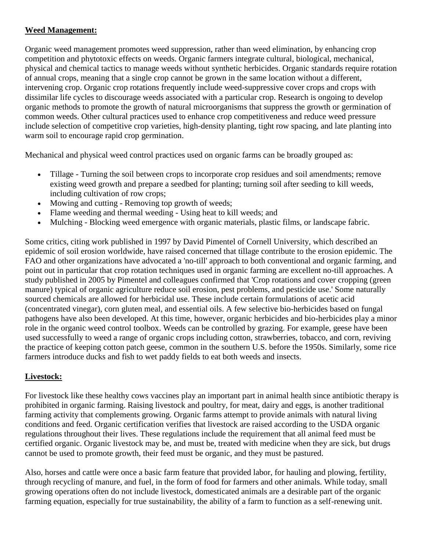### **Weed Management:**

Organic [weed](https://en.wikipedia.org/wiki/Weed) management promotes weed suppression, rather than weed elimination, by enhancing crop competition and [phytotoxic](https://en.wikipedia.org/wiki/Phytotoxic) effects on weeds. Organic farmers integrate cultural, biological, mechanical, physical and chemical tactics to manage weeds without synthetic herbicides. Organic standards require [rotation](https://en.wikipedia.org/wiki/Crop_rotation) of annual crops, meaning that a single crop cannot be grown in the same location without a different, intervening crop. Organic crop rotations frequently include weed-suppressive [cover crops](https://en.wikipedia.org/wiki/Cover_crop) and crops with dissimilar life cycles to discourage weeds associated with a particular crop. Research is ongoing to develop organic methods to promote the growth of natural microorganisms that suppress the growth or germination of common weeds. Other cultural practices used to enhance crop competitiveness and reduce weed pressure include selection of competitive crop varieties, high-density planting, tight row spacing, and late planting into warm soil to encourage rapid crop [germination.](https://en.wikipedia.org/wiki/Germination)

Mechanical and physical weed control practices used on organic farms can be broadly grouped as:

- [Tillage](https://en.wikipedia.org/wiki/Tillage) Turning the soil between crops to incorporate crop residues and soil amendments; remove existing weed growth and prepare a seedbed for planting; turning soil after seeding to kill weeds, including [cultivation](https://en.wikipedia.org/wiki/Cultivator) of row crops;
- Mowing and cutting Removing top growth of weeds;
- Flame weeding and thermal weeding Using heat to kill weeds; and
- [Mulching](https://en.wikipedia.org/wiki/Mulch) Blocking weed emergence with organic materials, plastic films, or [landscape fabric.](https://en.wikipedia.org/wiki/Landscape_fabric)

Some critics, citing work published in 1997 by David Pimentel of Cornell University, which described an epidemic of [soil erosion](https://en.wikipedia.org/wiki/Soil_erosion) worldwide, have raised concerned that tillage contribute to the erosion epidemic. The FAO and other organizations have advocated a 'no-till' approach to both conventional and organic farming, and point out in particular that crop rotation techniques used in organic farming are excellent no-till approaches. A study published in 2005 by Pimentel and colleagues confirmed that 'Crop rotations and cover cropping (green manure) typical of organic agriculture reduce soil erosion, pest problems, and pesticide use.' Some naturally sourced chemicals are allowed for herbicidal use. These include certain formulations of [acetic acid](https://en.wikipedia.org/wiki/Acetic_acid) (concentrated vinegar), [corn gluten meal,](https://en.wikipedia.org/wiki/Corn_gluten_meal) and [essential oils.](https://en.wikipedia.org/wiki/Essential_oils) A few selective [bio-herbicides](https://en.wikipedia.org/wiki/Bioherbicide) based on fungal [pathogens](https://en.wikipedia.org/wiki/Pathogen) have also been developed. At this time, however, organic herbicides and bio-herbicides play a minor role in the organic weed control toolbox. Weeds can be controlled by grazing. For example, geese have been used successfully to weed a range of organic crops including cotton, strawberries, tobacco, and corn, reviving the practice of keeping [cotton patch geese,](https://en.wikipedia.org/wiki/Cotton_Patch_Goose) common in the southern U.S. before the 1950s. Similarly, some rice farmers introduce ducks and fish to wet [paddy fields](https://en.wikipedia.org/wiki/Paddy_field) to eat both weeds and insects.

# **Livestock:**

For livestock like these healthy cows vaccines play an important part in animal health since antibiotic therapy is prohibited in organic farming. Raising livestock and poultry, for meat, dairy and eggs, is another traditional farming activity that complements growing. Organic farms attempt to provide animals with natural living conditions and feed. Organic certification verifies that livestock are raised according to the USDA organic regulations throughout their lives. These regulations include the requirement that all animal feed must be certified organic. Organic livestock may be, and must be, treated with medicine when they are sick, but drugs cannot be used to promote growth, their feed must be organic, and they must be pastured.

Also, horses and cattle were once a basic farm feature that provided labor, for hauling and plowing, fertility, through recycling of manure, and fuel, in the form of food for farmers and other animals. While today, small growing operations often do not include livestock, domesticated animals are a desirable part of the organic farming equation, especially for true sustainability, the ability of a farm to function as a self-renewing unit.